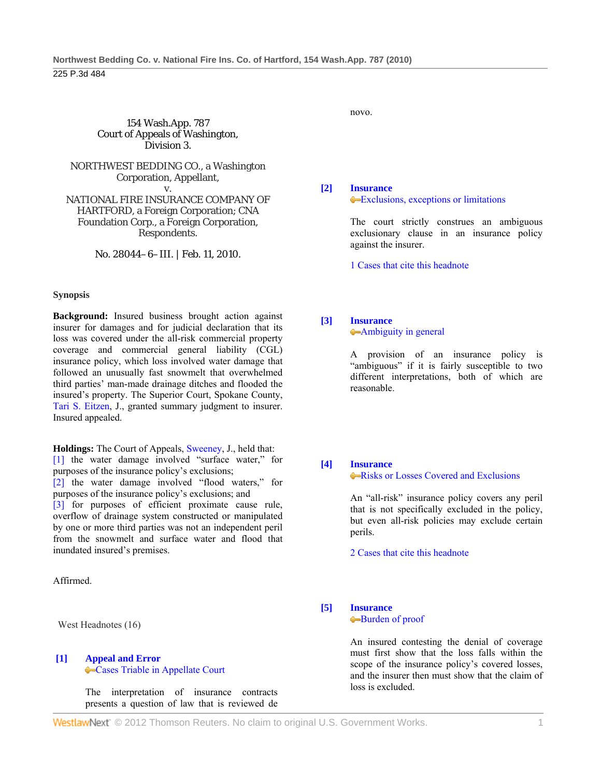154 Wash.App. 787 Court of Appeals of Washington, Division 3.

NORTHWEST BEDDING CO., a Washington Corporation, Appellant,

v. NATIONAL FIRE INSURANCE COMPANY OF HARTFORD, a Foreign Corporation; CNA Foundation Corp., a Foreign Corporation, Respondents.

No. 28044–6–III. | Feb. 11, 2010.

### **Synopsis**

**Background:** Insured business brought action against insurer for damages and for judicial declaration that its loss was covered under the all-risk commercial property coverage and commercial general liability (CGL) insurance policy, which loss involved water damage that followed an unusually fast snowmelt that overwhelmed third parties' man-made drainage ditches and flooded the insured's property. The Superior Court, Spokane County, Tari S. Eitzen, J., granted summary judgment to insurer. Insured appealed.

**Holdings:** The Court of Appeals, Sweeney, J., held that: [1] the water damage involved "surface water," for purposes of the insurance policy's exclusions;

[2] the water damage involved "flood waters," for purposes of the insurance policy's exclusions; and

[3] for purposes of efficient proximate cause rule, overflow of drainage system constructed or manipulated by one or more third parties was not an independent peril from the snowmelt and surface water and flood that inundated insured's premises.

Affirmed.

West Headnotes (16)

#### **[1] Appeal and Error** Cases Triable in Appellate Court

 The interpretation of insurance contracts presents a question of law that is reviewed de novo.

**[2] Insurance**

# Exclusions, exceptions or limitations

 The court strictly construes an ambiguous exclusionary clause in an insurance policy against the insurer.

1 Cases that cite this headnote

### **[3] Insurance**

Ambiguity in general

 A provision of an insurance policy is "ambiguous" if it is fairly susceptible to two different interpretations, both of which are reasonable.

### **[4] Insurance**

Risks or Losses Covered and Exclusions

 An "all-risk" insurance policy covers any peril that is not specifically excluded in the policy, but even all-risk policies may exclude certain perils.

2 Cases that cite this headnote

**[5] Insurance** Burden of proof

> An insured contesting the denial of coverage must first show that the loss falls within the scope of the insurance policy's covered losses, and the insurer then must show that the claim of loss is excluded.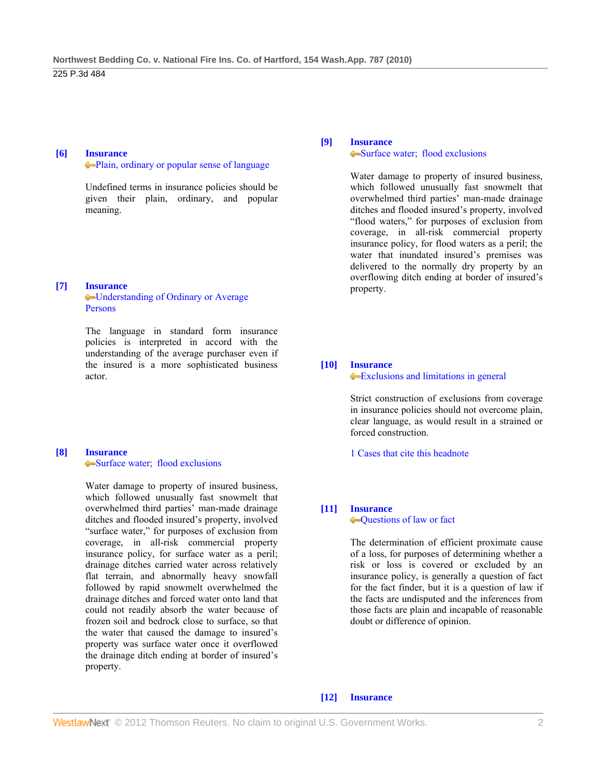#### **[6] Insurance**

Plain, ordinary or popular sense of language

 Undefined terms in insurance policies should be given their plain, ordinary, and popular meaning.

### **[7] Insurance**

Understanding of Ordinary or Average Persons

 The language in standard form insurance policies is interpreted in accord with the understanding of the average purchaser even if the insured is a more sophisticated business actor.

#### **[8] Insurance** Surface water; flood exclusions

 Water damage to property of insured business, which followed unusually fast snowmelt that overwhelmed third parties' man-made drainage ditches and flooded insured's property, involved "surface water," for purposes of exclusion from coverage, in all-risk commercial property insurance policy, for surface water as a peril; drainage ditches carried water across relatively flat terrain, and abnormally heavy snowfall followed by rapid snowmelt overwhelmed the drainage ditches and forced water onto land that could not readily absorb the water because of frozen soil and bedrock close to surface, so that the water that caused the damage to insured's property was surface water once it overflowed the drainage ditch ending at border of insured's property.

### **[9] Insurance**

#### Surface water; flood exclusions

 Water damage to property of insured business, which followed unusually fast snowmelt that overwhelmed third parties' man-made drainage ditches and flooded insured's property, involved "flood waters," for purposes of exclusion from coverage, in all-risk commercial property insurance policy, for flood waters as a peril; the water that inundated insured's premises was delivered to the normally dry property by an overflowing ditch ending at border of insured's property.

### **[10] Insurance**

#### Exclusions and limitations in general

 Strict construction of exclusions from coverage in insurance policies should not overcome plain, clear language, as would result in a strained or forced construction.

1 Cases that cite this headnote

# **[11] Insurance**

Questions of law or fact

 The determination of efficient proximate cause of a loss, for purposes of determining whether a risk or loss is covered or excluded by an insurance policy, is generally a question of fact for the fact finder, but it is a question of law if the facts are undisputed and the inferences from those facts are plain and incapable of reasonable doubt or difference of opinion.

### **[12] Insurance**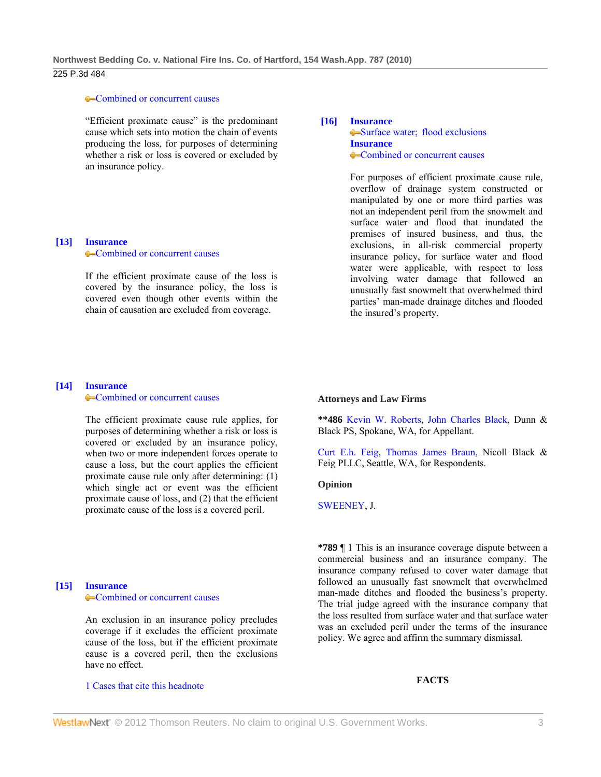### 225 P.3d 484

#### •Combined or concurrent causes

 "Efficient proximate cause" is the predominant cause which sets into motion the chain of events producing the loss, for purposes of determining whether a risk or loss is covered or excluded by an insurance policy.

#### **[13] Insurance Combined or concurrent causes**

 If the efficient proximate cause of the loss is covered by the insurance policy, the loss is covered even though other events within the chain of causation are excluded from coverage.

### **[16] Insurance** •Surface water: flood exclusions **Insurance** Combined or concurrent causes

 For purposes of efficient proximate cause rule, overflow of drainage system constructed or manipulated by one or more third parties was not an independent peril from the snowmelt and surface water and flood that inundated the premises of insured business, and thus, the exclusions, in all-risk commercial property insurance policy, for surface water and flood water were applicable, with respect to loss involving water damage that followed an unusually fast snowmelt that overwhelmed third parties' man-made drainage ditches and flooded the insured's property.

#### **[14] Insurance** •Combined or concurrent causes

 The efficient proximate cause rule applies, for purposes of determining whether a risk or loss is covered or excluded by an insurance policy, when two or more independent forces operate to cause a loss, but the court applies the efficient proximate cause rule only after determining: (1) which single act or event was the efficient proximate cause of loss, and (2) that the efficient proximate cause of the loss is a covered peril.

### **[15] Insurance** •Combined or concurrent causes

 An exclusion in an insurance policy precludes coverage if it excludes the efficient proximate cause of the loss, but if the efficient proximate cause is a covered peril, then the exclusions have no effect.

1 Cases that cite this headnote

### **Attorneys and Law Firms**

**\*\*486** Kevin W. Roberts, John Charles Black, Dunn & Black PS, Spokane, WA, for Appellant.

Curt E.h. Feig, Thomas James Braun, Nicoll Black & Feig PLLC, Seattle, WA, for Respondents.

#### **Opinion**

### SWEENEY, J.

**\*789** ¶ 1 This is an insurance coverage dispute between a commercial business and an insurance company. The insurance company refused to cover water damage that followed an unusually fast snowmelt that overwhelmed man-made ditches and flooded the business's property. The trial judge agreed with the insurance company that the loss resulted from surface water and that surface water was an excluded peril under the terms of the insurance policy. We agree and affirm the summary dismissal.

# **FACTS**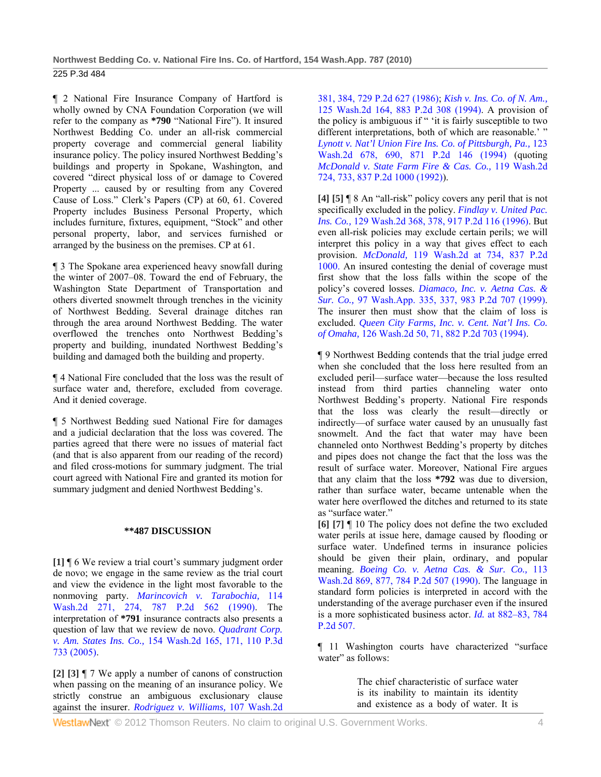¶ 2 National Fire Insurance Company of Hartford is wholly owned by CNA Foundation Corporation (we will refer to the company as **\*790** "National Fire"). It insured Northwest Bedding Co. under an all-risk commercial property coverage and commercial general liability insurance policy. The policy insured Northwest Bedding's buildings and property in Spokane, Washington, and covered "direct physical loss of or damage to Covered Property ... caused by or resulting from any Covered Cause of Loss." Clerk's Papers (CP) at 60, 61. Covered Property includes Business Personal Property, which includes furniture, fixtures, equipment, "Stock" and other personal property, labor, and services furnished or arranged by the business on the premises. CP at 61.

¶ 3 The Spokane area experienced heavy snowfall during the winter of 2007–08. Toward the end of February, the Washington State Department of Transportation and others diverted snowmelt through trenches in the vicinity of Northwest Bedding. Several drainage ditches ran through the area around Northwest Bedding. The water overflowed the trenches onto Northwest Bedding's property and building, inundated Northwest Bedding's building and damaged both the building and property.

¶ 4 National Fire concluded that the loss was the result of surface water and, therefore, excluded from coverage. And it denied coverage.

¶ 5 Northwest Bedding sued National Fire for damages and a judicial declaration that the loss was covered. The parties agreed that there were no issues of material fact (and that is also apparent from our reading of the record) and filed cross-motions for summary judgment. The trial court agreed with National Fire and granted its motion for summary judgment and denied Northwest Bedding's.

### **\*\*487 DISCUSSION**

**[1]** ¶ 6 We review a trial court's summary judgment order de novo; we engage in the same review as the trial court and view the evidence in the light most favorable to the nonmoving party. *Marincovich v. Tarabochia,* 114 Wash.2d 271, 274, 787 P.2d 562 (1990). The interpretation of **\*791** insurance contracts also presents a question of law that we review de novo. *Quadrant Corp. v. Am. States Ins. Co.,* 154 Wash.2d 165, 171, 110 P.3d 733 (2005).

**[2] [3]** ¶ 7 We apply a number of canons of construction when passing on the meaning of an insurance policy. We strictly construe an ambiguous exclusionary clause against the insurer. *Rodriguez v. Williams,* 107 Wash.2d

381, 384, 729 P.2d 627 (1986); *Kish v. Ins. Co. of N. Am.,* 125 Wash.2d 164, 883 P.2d 308 (1994). A provision of the policy is ambiguous if " 'it is fairly susceptible to two different interpretations, both of which are reasonable.' " *Lynott v. Nat'l Union Fire Ins. Co. of Pittsburgh, Pa.,* 123 Wash.2d 678, 690, 871 P.2d 146 (1994) (quoting *McDonald v. State Farm Fire & Cas. Co.,* 119 Wash.2d 724, 733, 837 P.2d 1000 (1992)).

**[4] [5]** ¶ 8 An "all-risk" policy covers any peril that is not specifically excluded in the policy. *Findlay v. United Pac. Ins. Co.,* 129 Wash.2d 368, 378, 917 P.2d 116 (1996). But even all-risk policies may exclude certain perils; we will interpret this policy in a way that gives effect to each provision. *McDonald,* 119 Wash.2d at 734, 837 P.2d 1000. An insured contesting the denial of coverage must first show that the loss falls within the scope of the policy's covered losses. *Diamaco, Inc. v. Aetna Cas. & Sur. Co.,* 97 Wash.App. 335, 337, 983 P.2d 707 (1999). The insurer then must show that the claim of loss is excluded. *Queen City Farms, Inc. v. Cent. Nat'l Ins. Co. of Omaha,* 126 Wash.2d 50, 71, 882 P.2d 703 (1994).

¶ 9 Northwest Bedding contends that the trial judge erred when she concluded that the loss here resulted from an excluded peril—surface water—because the loss resulted instead from third parties channeling water onto Northwest Bedding's property. National Fire responds that the loss was clearly the result—directly or indirectly—of surface water caused by an unusually fast snowmelt. And the fact that water may have been channeled onto Northwest Bedding's property by ditches and pipes does not change the fact that the loss was the result of surface water. Moreover, National Fire argues that any claim that the loss **\*792** was due to diversion, rather than surface water, became untenable when the water here overflowed the ditches and returned to its state as "surface water."

**[6] [7]** ¶ 10 The policy does not define the two excluded water perils at issue here, damage caused by flooding or surface water. Undefined terms in insurance policies should be given their plain, ordinary, and popular meaning. *Boeing Co. v. Aetna Cas. & Sur. Co.,* 113 Wash.2d 869, 877, 784 P.2d 507 (1990). The language in standard form policies is interpreted in accord with the understanding of the average purchaser even if the insured is a more sophisticated business actor. *Id.* at 882–83, 784 P.2d 507.

¶ 11 Washington courts have characterized "surface water" as follows:

> The chief characteristic of surface water is its inability to maintain its identity and existence as a body of water. It is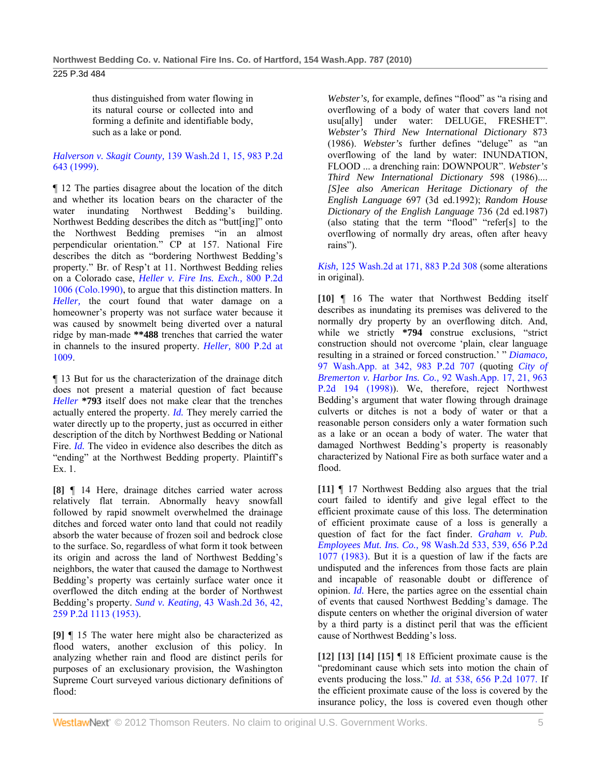225 P.3d 484

thus distinguished from water flowing in its natural course or collected into and forming a definite and identifiable body, such as a lake or pond.

*Halverson v. Skagit County,* 139 Wash.2d 1, 15, 983 P.2d 643 (1999).

¶ 12 The parties disagree about the location of the ditch and whether its location bears on the character of the water inundating Northwest Bedding's building. Northwest Bedding describes the ditch as "butt[ing]" onto the Northwest Bedding premises "in an almost perpendicular orientation." CP at 157. National Fire describes the ditch as "bordering Northwest Bedding's property." Br. of Resp't at 11. Northwest Bedding relies on a Colorado case, *Heller v. Fire Ins. Exch.,* 800 P.2d 1006 (Colo.1990), to argue that this distinction matters. In *Heller,* the court found that water damage on a homeowner's property was not surface water because it was caused by snowmelt being diverted over a natural ridge by man-made **\*\*488** trenches that carried the water in channels to the insured property. *Heller,* 800 P.2d at 1009.

¶ 13 But for us the characterization of the drainage ditch does not present a material question of fact because *Heller* **\*793** itself does not make clear that the trenches actually entered the property. *Id.* They merely carried the water directly up to the property, just as occurred in either description of the ditch by Northwest Bedding or National Fire. *Id.* The video in evidence also describes the ditch as "ending" at the Northwest Bedding property. Plaintiff's Ex. 1.

**[8]** ¶ 14 Here, drainage ditches carried water across relatively flat terrain. Abnormally heavy snowfall followed by rapid snowmelt overwhelmed the drainage ditches and forced water onto land that could not readily absorb the water because of frozen soil and bedrock close to the surface. So, regardless of what form it took between its origin and across the land of Northwest Bedding's neighbors, the water that caused the damage to Northwest Bedding's property was certainly surface water once it overflowed the ditch ending at the border of Northwest Bedding's property. *Sund v. Keating,* 43 Wash.2d 36, 42, 259 P.2d 1113 (1953).

**[9]** ¶ 15 The water here might also be characterized as flood waters, another exclusion of this policy. In analyzing whether rain and flood are distinct perils for purposes of an exclusionary provision, the Washington Supreme Court surveyed various dictionary definitions of flood:

*Webster's,* for example, defines "flood" as "a rising and overflowing of a body of water that covers land not usu[ally] under water: DELUGE, FRESHET". *Webster's Third New International Dictionary* 873 (1986). *Webster's* further defines "deluge" as "an overflowing of the land by water: INUNDATION, FLOOD ... a drenching rain: DOWNPOUR". *Webster's Third New International Dictionary* 598 (1986).... *[S]ee also American Heritage Dictionary of the English Language* 697 (3d ed.1992); *Random House Dictionary of the English Language* 736 (2d ed.1987) (also stating that the term "flood" "refer[s] to the overflowing of normally dry areas, often after heavy rains").

*Kish,* 125 Wash.2d at 171, 883 P.2d 308 (some alterations in original).

**[10]** ¶ 16 The water that Northwest Bedding itself describes as inundating its premises was delivered to the normally dry property by an overflowing ditch. And, while we strictly **\*794** construe exclusions, "strict construction should not overcome 'plain, clear language resulting in a strained or forced construction.' " *Diamaco,* 97 Wash.App. at 342, 983 P.2d 707 (quoting *City of Bremerton v. Harbor Ins. Co.,* 92 Wash.App. 17, 21, 963 P.2d 194 (1998)). We, therefore, reject Northwest Bedding's argument that water flowing through drainage culverts or ditches is not a body of water or that a reasonable person considers only a water formation such as a lake or an ocean a body of water. The water that damaged Northwest Bedding's property is reasonably characterized by National Fire as both surface water and a flood.

**[11]** ¶ 17 Northwest Bedding also argues that the trial court failed to identify and give legal effect to the efficient proximate cause of this loss. The determination of efficient proximate cause of a loss is generally a question of fact for the fact finder. *Graham v. Pub. Employees Mut. Ins. Co.,* 98 Wash.2d 533, 539, 656 P.2d 1077 (1983). But it is a question of law if the facts are undisputed and the inferences from those facts are plain and incapable of reasonable doubt or difference of opinion. *Id.* Here, the parties agree on the essential chain of events that caused Northwest Bedding's damage. The dispute centers on whether the original diversion of water by a third party is a distinct peril that was the efficient cause of Northwest Bedding's loss.

**[12] [13] [14] [15]** ¶ 18 Efficient proximate cause is the "predominant cause which sets into motion the chain of events producing the loss." *Id.* at 538, 656 P.2d 1077. If the efficient proximate cause of the loss is covered by the insurance policy, the loss is covered even though other